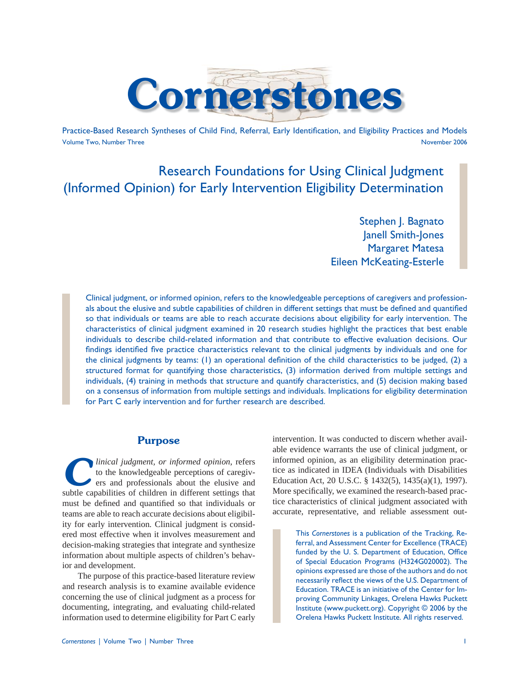

Practice-Based Research Syntheses of Child Find, Referral, Early Identification, and Eligibility Practices and Models Volume Two, Number Three November 2006

# Research Foundations for Using Clinical Judgment (Informed Opinion) for Early Intervention Eligibility Determination

Stephen J. Bagnato Janell Smith-Jones Margaret Matesa Eileen McKeating-Esterle

Clinical judgment, or informed opinion, refers to the knowledgeable perceptions of caregivers and professionals about the elusive and subtle capabilities of children in different settings that must be defined and quantified so that individuals or teams are able to reach accurate decisions about eligibility for early intervention. The characteristics of clinical judgment examined in 20 research studies highlight the practices that best enable individuals to describe child-related information and that contribute to effective evaluation decisions. Our findings identified five practice characteristics relevant to the clinical judgments by individuals and one for the clinical judgments by teams: (1) an operational definition of the child characteristics to be judged,  $(2)$  a structured format for quantifying those characteristics, (3) information derived from multiple settings and individuals, (4) training in methods that structure and quantify characteristics, and (5) decision making based on a consensus of information from multiple settings and individuals. Implications for eligibility determination for Part C early intervention and for further research are described.

### **Purpose**

*clinical judgment, or informed opinion*, refers to the knowledgeable perceptions of caregivers and professionals about the elusive and subtle capabilities of children in different settings that must be defined and quantified so that individuals or teams are able to reach accurate decisions about eligibility for early intervention*.* Clinical judgment is considered most effective when it involves measurement and decision-making strategies that integrate and synthesize information about multiple aspects of children's behavior and development.

The purpose of this practice-based literature review and research analysis is to examine available evidence concerning the use of clinical judgment as a process for documenting, integrating, and evaluating child-related information used to determine eligibility for Part C early

intervention. It was conducted to discern whether available evidence warrants the use of clinical judgment, or informed opinion, as an eligibility determination practice as indicated in IDEA (Individuals with Disabilities Education Act, 20 U.S.C. § 1432(5), 1435(a)(1), 1997). More specifically, we examined the research-based practice characteristics of clinical judgment associated with accurate, representative, and reliable assessment out-

> This *Cornerstones* is a publication of the Tracking, Referral, and Assessment Center for Excellence (TRACE) funded by the U. S. Department of Education, Office of Special Education Programs (H324G020002). The opinions expressed are those of the authors and do not necessarily reflect the views of the U.S. Department of Education. TRACE is an initiative of the Center for Improving Community Linkages, Orelena Hawks Puckett Institute (www.puckett.org). Copyright © 2006 by the Orelena Hawks Puckett Institute. All rights reserved.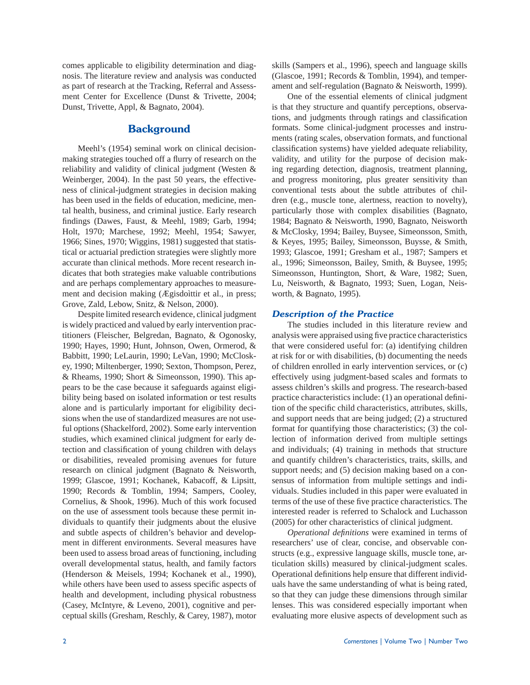comes applicable to eligibility determination and diagnosis. The literature review and analysis was conducted as part of research at the Tracking, Referral and Assessment Center for Excellence (Dunst & Trivette, 2004; Dunst, Trivette, Appl, & Bagnato, 2004).

# **Background**

Meehl's (1954) seminal work on clinical decisionmaking strategies touched off a flurry of research on the reliability and validity of clinical judgment (Westen & Weinberger, 2004). In the past 50 years, the effectiveness of clinical-judgment strategies in decision making has been used in the fields of education, medicine, mental health, business, and criminal justice. Early research findings (Dawes, Faust, & Meehl, 1989; Garb, 1994; Holt, 1970; Marchese, 1992; Meehl, 1954; Sawyer, 1966; Sines, 1970; Wiggins, 1981) suggested that statistical or actuarial prediction strategies were slightly more accurate than clinical methods. More recent research indicates that both strategies make valuable contributions and are perhaps complementary approaches to measurement and decision making (Ægisdoìttir et al., in press; Grove, Zald, Lebow, Snitz, & Nelson, 2000).

Despite limited research evidence, clinical judgment is widely practiced and valued by early intervention practitioners (Fleischer, Belgredan, Bagnato, & Ogonosky, 1990; Hayes, 1990; Hunt, Johnson, Owen, Ormerod, & Babbitt, 1990; LeLaurin, 1990; LeVan, 1990; McCloskey, 1990; Miltenberger, 1990; Sexton, Thompson, Perez, & Rheams, 1990; Short & Simeonsson, 1990). This appears to be the case because it safeguards against eligibility being based on isolated information or test results alone and is particularly important for eligibility decisions when the use of standardized measures are not useful options (Shackelford, 2002). Some early intervention studies, which examined clinical judgment for early detection and classification of young children with delays or disabilities, revealed promising avenues for future research on clinical judgment (Bagnato & Neisworth, 1999; Glascoe, 1991; Kochanek, Kabacoff, & Lipsitt, 1990; Records & Tomblin, 1994; Sampers, Cooley, Cornelius, & Shook, 1996). Much of this work focused on the use of assessment tools because these permit individuals to quantify their judgments about the elusive and subtle aspects of children's behavior and development in different environments. Several measures have been used to assess broad areas of functioning, including overall developmental status, health, and family factors (Henderson & Meisels, 1994; Kochanek et al., 1990), while others have been used to assess specific aspects of health and development, including physical robustness (Casey, McIntyre, & Leveno, 2001), cognitive and perceptual skills (Gresham, Reschly, & Carey, 1987), motor

skills (Sampers et al., 1996), speech and language skills (Glascoe, 1991; Records & Tomblin, 1994), and temperament and self-regulation (Bagnato & Neisworth, 1999).

 One of the essential elements of clinical judgment is that they structure and quantify perceptions, observations, and judgments through ratings and classification formats. Some clinical-judgment processes and instruments (rating scales, observation formats, and functional classification systems) have yielded adequate reliability, validity, and utility for the purpose of decision making regarding detection, diagnosis, treatment planning, and progress monitoring, plus greater sensitivity than conventional tests about the subtle attributes of children (e.g., muscle tone, alertness, reaction to novelty), particularly those with complex disabilities (Bagnato, 1984; Bagnato & Neisworth, 1990, Bagnato, Neisworth & McClosky, 1994; Bailey, Buysee, Simeonsson, Smith, & Keyes, 1995; Bailey, Simeonsson, Buysse, & Smith, 1993; Glascoe, 1991; Gresham et al., 1987; Sampers et al., 1996; Simeonsson, Bailey, Smith, & Buysee, 1995; Simeonsson, Huntington, Short, & Ware, 1982; Suen, Lu, Neisworth, & Bagnato, 1993; Suen, Logan, Neisworth, & Bagnato, 1995).

### *Description of the Practice*

The studies included in this literature review and analysis were appraised using five practice characteristics that were considered useful for: (a) identifying children at risk for or with disabilities, (b) documenting the needs of children enrolled in early intervention services, or (c) effectively using judgment-based scales and formats to assess children's skills and progress. The research-based practice characteristics include:  $(1)$  an operational definition of the specific child characteristics, attributes, skills, and support needs that are being judged; (2) a structured format for quantifying those characteristics; (3) the collection of information derived from multiple settings and individuals; (4) training in methods that structure and quantify children's characteristics, traits, skills, and support needs; and  $(5)$  decision making based on a consensus of information from multiple settings and individuals. Studies included in this paper were evaluated in terms of the use of these five practice characteristics. The interested reader is referred to Schalock and Luchasson (2005) for other characteristics of clinical judgment.

*Operational definitions* were examined in terms of researchers' use of clear, concise, and observable constructs (e.g., expressive language skills, muscle tone, articulation skills) measured by clinical-judgment scales. Operational definitions help ensure that different individuals have the same understanding of what is being rated, so that they can judge these dimensions through similar lenses. This was considered especially important when evaluating more elusive aspects of development such as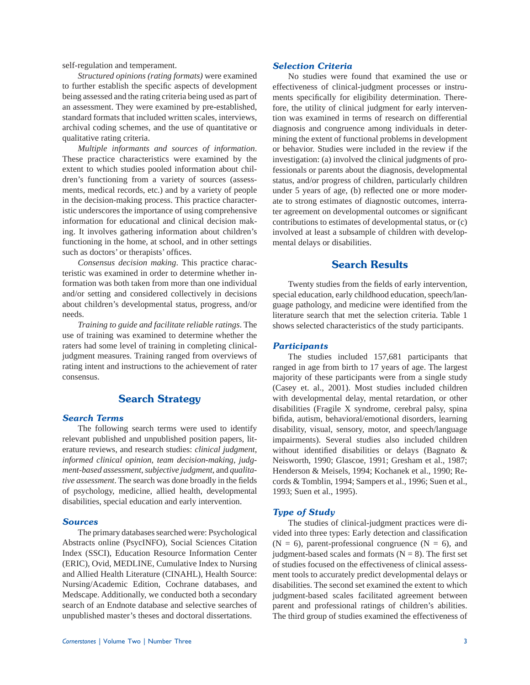self-regulation and temperament.

 *Structured opinions (rating formats)* were examined to further establish the specific aspects of development being assessed and the rating criteria being used as part of an assessment. They were examined by pre-established, standard formats that included written scales, interviews, archival coding schemes, and the use of quantitative or qualitative rating criteria.

 *Multiple informants and sources of information*. These practice characteristics were examined by the extent to which studies pooled information about children's functioning from a variety of sources (assessments, medical records, etc.) and by a variety of people in the decision-making process. This practice characteristic underscores the importance of using comprehensive information for educational and clinical decision making. It involves gathering information about children's functioning in the home, at school, and in other settings such as doctors' or therapists' offices.

*Consensus decision making*. This practice characteristic was examined in order to determine whether information was both taken from more than one individual and/or setting and considered collectively in decisions about children's developmental status, progress, and/or needs.

*Training to guide and facilitate reliable ratings*. The use of training was examined to determine whether the raters had some level of training in completing clinicaljudgment measures. Training ranged from overviews of rating intent and instructions to the achievement of rater consensus.

# **Search Strategy**

### *Search Terms*

The following search terms were used to identify relevant published and unpublished position papers, literature reviews, and research studies: *clinical judgment*, *informed clinical opinion*, *team decision-making*, *judgment-based assessment*, *subjective judgment*, and *qualitative assessment*. The search was done broadly in the fields of psychology, medicine, allied health, developmental disabilities, special education and early intervention.

#### *Sources*

 The primary databases searched were: Psychological Abstracts online (PsycINFO), Social Sciences Citation Index (SSCI), Education Resource Information Center (ERIC), Ovid, MEDLINE, Cumulative Index to Nursing and Allied Health Literature (CINAHL), Health Source: Nursing/Academic Edition, Cochrane databases, and Medscape. Additionally, we conducted both a secondary search of an Endnote database and selective searches of unpublished master's theses and doctoral dissertations.

### *Selection Criteria*

 No studies were found that examined the use or effectiveness of clinical-judgment processes or instruments specifically for eligibility determination. Therefore, the utility of clinical judgment for early intervention was examined in terms of research on differential diagnosis and congruence among individuals in determining the extent of functional problems in development or behavior. Studies were included in the review if the investigation: (a) involved the clinical judgments of professionals or parents about the diagnosis, developmental status, and/or progress of children, particularly children under 5 years of age, (b) reflected one or more moderate to strong estimates of diagnostic outcomes, interrater agreement on developmental outcomes or significant contributions to estimates of developmental status, or (c) involved at least a subsample of children with developmental delays or disabilities.

# **Search Results**

Twenty studies from the fields of early intervention, special education, early childhood education, speech/language pathology, and medicine were identified from the literature search that met the selection criteria. Table 1 shows selected characteristics of the study participants.

#### *Participants*

 The studies included 157,681 participants that ranged in age from birth to 17 years of age. The largest majority of these participants were from a single study (Casey et. al., 2001). Most studies included children with developmental delay, mental retardation, or other disabilities (Fragile X syndrome, cerebral palsy, spina bifida, autism, behavioral/emotional disorders, learning disability, visual, sensory, motor, and speech/language impairments). Several studies also included children without identified disabilities or delays (Bagnato  $\&$ Neisworth, 1990; Glascoe, 1991; Gresham et al., 1987; Henderson & Meisels, 1994; Kochanek et al., 1990; Records & Tomblin, 1994; Sampers et al., 1996; Suen et al., 1993; Suen et al., 1995).

#### *Type of Study*

The studies of clinical-judgment practices were divided into three types: Early detection and classification  $(N = 6)$ , parent-professional congruence  $(N = 6)$ , and judgment-based scales and formats ( $N = 8$ ). The first set of studies focused on the effectiveness of clinical assessment tools to accurately predict developmental delays or disabilities. The second set examined the extent to which judgment-based scales facilitated agreement between parent and professional ratings of children's abilities. The third group of studies examined the effectiveness of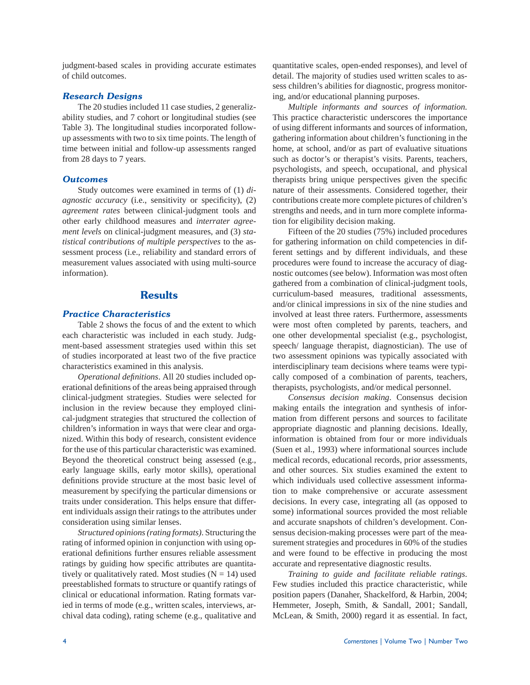judgment-based scales in providing accurate estimates of child outcomes.

### *Research Designs*

 The 20 studies included 11 case studies, 2 generalizability studies, and 7 cohort or longitudinal studies (see Table 3). The longitudinal studies incorporated followup assessments with two to six time points. The length of time between initial and follow-up assessments ranged from 28 days to 7 years.

#### *Outcomes*

Study outcomes were examined in terms of (1) *diagnostic accuracy* (i.e., sensitivity or specificity), (2) *agreement rates* between clinical-judgment tools and other early childhood measures and *interrater agreement levels* on clinical-judgment measures, and (3) *statistical contributions of multiple perspectives* to the assessment process (i.e., reliability and standard errors of measurement values associated with using multi-source information).

# **Results**

### *Practice Characteristics*

Table 2 shows the focus of and the extent to which each characteristic was included in each study. Judgment-based assessment strategies used within this set of studies incorporated at least two of the five practice characteristics examined in this analysis.

*Operational definitions*. All 20 studies included operational definitions of the areas being appraised through clinical-judgment strategies. Studies were selected for inclusion in the review because they employed clinical-judgment strategies that structured the collection of children's information in ways that were clear and organized. Within this body of research, consistent evidence for the use of this particular characteristic was examined. Beyond the theoretical construct being assessed (e.g., early language skills, early motor skills), operational definitions provide structure at the most basic level of measurement by specifying the particular dimensions or traits under consideration. This helps ensure that different individuals assign their ratings to the attributes under consideration using similar lenses.

*Structured opinions (rating formats)*. Structuring the rating of informed opinion in conjunction with using operational definitions further ensures reliable assessment ratings by guiding how specific attributes are quantitatively or qualitatively rated. Most studies  $(N = 14)$  used preestablished formats to structure or quantify ratings of clinical or educational information. Rating formats varied in terms of mode (e.g., written scales, interviews, archival data coding), rating scheme (e.g., qualitative and

quantitative scales, open-ended responses), and level of detail. The majority of studies used written scales to assess children's abilities for diagnostic, progress monitoring, and/or educational planning purposes.

*Multiple informants and sources of information.*  This practice characteristic underscores the importance of using different informants and sources of information, gathering information about children's functioning in the home, at school, and/or as part of evaluative situations such as doctor's or therapist's visits. Parents, teachers, psychologists, and speech, occupational, and physical therapists bring unique perspectives given the specific nature of their assessments. Considered together, their contributions create more complete pictures of children's strengths and needs, and in turn more complete information for eligibility decision making.

Fifteen of the 20 studies (75%) included procedures for gathering information on child competencies in different settings and by different individuals, and these procedures were found to increase the accuracy of diagnostic outcomes (see below). Information was most often gathered from a combination of clinical-judgment tools, curriculum-based measures, traditional assessments, and/or clinical impressions in six of the nine studies and involved at least three raters. Furthermore, assessments were most often completed by parents, teachers, and one other developmental specialist (e.g., psychologist, speech/ language therapist, diagnostician). The use of two assessment opinions was typically associated with interdisciplinary team decisions where teams were typically composed of a combination of parents, teachers, therapists, psychologists, and/or medical personnel.

*Consensus decision making*. Consensus decision making entails the integration and synthesis of information from different persons and sources to facilitate appropriate diagnostic and planning decisions. Ideally, information is obtained from four or more individuals (Suen et al., 1993) where informational sources include medical records, educational records, prior assessments, and other sources. Six studies examined the extent to which individuals used collective assessment information to make comprehensive or accurate assessment decisions. In every case, integrating all (as opposed to some) informational sources provided the most reliable and accurate snapshots of children's development. Consensus decision-making processes were part of the measurement strategies and procedures in 60% of the studies and were found to be effective in producing the most accurate and representative diagnostic results.

*Training to guide and facilitate reliable ratings*. Few studies included this practice characteristic, while position papers (Danaher, Shackelford, & Harbin, 2004; Hemmeter, Joseph, Smith, & Sandall, 2001; Sandall, McLean, & Smith, 2000) regard it as essential. In fact,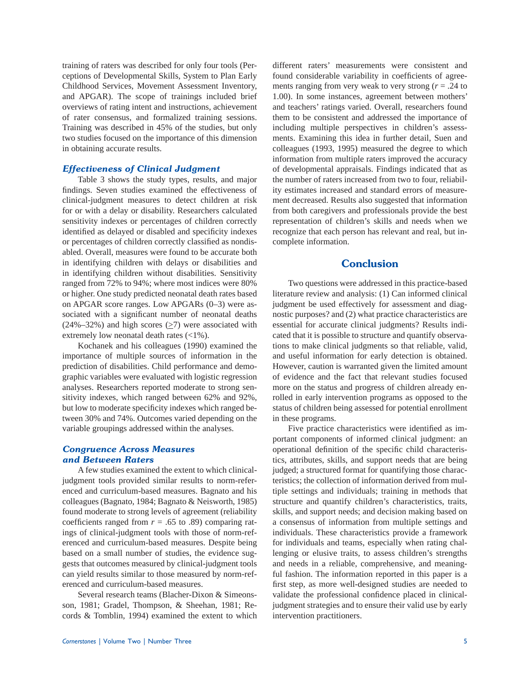training of raters was described for only four tools (Perceptions of Developmental Skills, System to Plan Early Childhood Services, Movement Assessment Inventory, and APGAR). The scope of trainings included brief overviews of rating intent and instructions, achievement of rater consensus, and formalized training sessions. Training was described in 45% of the studies, but only two studies focused on the importance of this dimension in obtaining accurate results.

#### *Effectiveness of Clinical Judgment*

Table 3 shows the study types, results, and major findings. Seven studies examined the effectiveness of clinical-judgment measures to detect children at risk for or with a delay or disability. Researchers calculated sensitivity indexes or percentages of children correctly identified as delayed or disabled and specificity indexes or percentages of children correctly classified as nondisabled. Overall, measures were found to be accurate both in identifying children with delays or disabilities and in identifying children without disabilities. Sensitivity ranged from 72% to 94%; where most indices were 80% or higher. One study predicted neonatal death rates based on APGAR score ranges. Low APGARs (0–3) were associated with a significant number of neonatal deaths  $(24\% - 32\%)$  and high scores ( $\geq 7$ ) were associated with extremely low neonatal death rates (<1%).

Kochanek and his colleagues (1990) examined the importance of multiple sources of information in the prediction of disabilities. Child performance and demographic variables were evaluated with logistic regression analyses. Researchers reported moderate to strong sensitivity indexes, which ranged between 62% and 92%, but low to moderate specificity indexes which ranged between 30% and 74%. Outcomes varied depending on the variable groupings addressed within the analyses.

#### *Congruence Across Measures and Between Raters*

A few studies examined the extent to which clinicaljudgment tools provided similar results to norm-referenced and curriculum-based measures. Bagnato and his colleagues (Bagnato, 1984; Bagnato & Neisworth, 1985) found moderate to strong levels of agreement (reliability coefficients ranged from  $r = .65$  to .89) comparing ratings of clinical-judgment tools with those of norm-referenced and curriculum-based measures. Despite being based on a small number of studies, the evidence suggests that outcomes measured by clinical-judgment tools can yield results similar to those measured by norm-referenced and curriculum-based measures.

Several research teams (Blacher-Dixon & Simeonsson, 1981; Gradel, Thompson, & Sheehan, 1981; Records & Tomblin, 1994) examined the extent to which different raters' measurements were consistent and found considerable variability in coefficients of agreements ranging from very weak to very strong  $(r = .24$  to 1.00). In some instances, agreement between mothers' and teachers' ratings varied. Overall, researchers found them to be consistent and addressed the importance of including multiple perspectives in children's assessments. Examining this idea in further detail, Suen and colleagues (1993, 1995) measured the degree to which information from multiple raters improved the accuracy of developmental appraisals. Findings indicated that as the number of raters increased from two to four, reliability estimates increased and standard errors of measurement decreased. Results also suggested that information from both caregivers and professionals provide the best representation of children's skills and needs when we recognize that each person has relevant and real, but incomplete information.

# **Conclusion**

Two questions were addressed in this practice-based literature review and analysis: (1) Can informed clinical judgment be used effectively for assessment and diagnostic purposes? and (2) what practice characteristics are essential for accurate clinical judgments? Results indicated that it is possible to structure and quantify observations to make clinical judgments so that reliable, valid, and useful information for early detection is obtained. However, caution is warranted given the limited amount of evidence and the fact that relevant studies focused more on the status and progress of children already enrolled in early intervention programs as opposed to the status of children being assessed for potential enrollment in these programs.

Five practice characteristics were identified as important components of informed clinical judgment: an operational definition of the specific child characteristics, attributes, skills, and support needs that are being judged; a structured format for quantifying those characteristics; the collection of information derived from multiple settings and individuals; training in methods that structure and quantify children's characteristics, traits, skills, and support needs; and decision making based on a consensus of information from multiple settings and individuals. These characteristics provide a framework for individuals and teams, especially when rating challenging or elusive traits, to assess children's strengths and needs in a reliable, comprehensive, and meaningful fashion. The information reported in this paper is a first step, as more well-designed studies are needed to validate the professional confidence placed in clinicaljudgment strategies and to ensure their valid use by early intervention practitioners.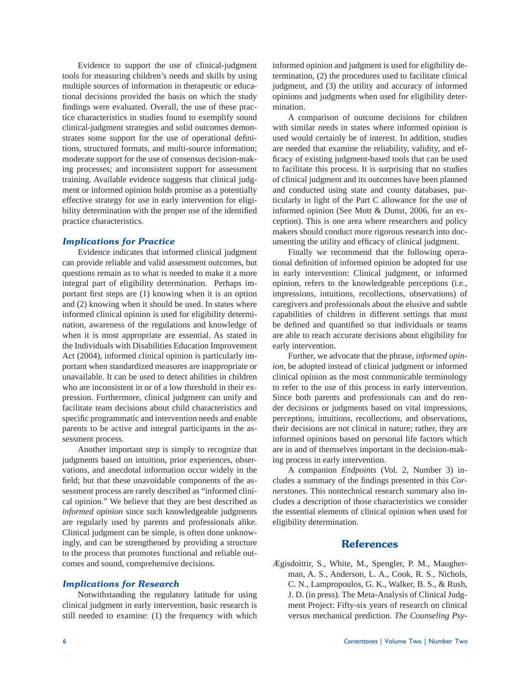Evidence to support the use of clinical-judgment tools for measuring children's needs and skills by using multiple sources of information in therapeutic or educational decisions provided the basis on which the study findings were evaluated. Overall, the use of these practice characteristics in studies found to exemplify sound clinical-judgment strategies and solid outcomes demonstrates some support for the use of operational definitions, structured formats, and multi-source information; moderate support for the use of consensus decision-making processes; and inconsistent support for assessment training. Available evidence suggests that clinical judgment or informed opinion holds promise as a potentially effective strategy for use in early intervention for eligibility determination with the proper use of the identified practice characteristics.

#### *Implications for Practice*

Evidence indicates that informed clinical judgment can provide reliable and valid assessment outcomes, but questions remain as to what is needed to make it a more integral part of eligibility determination. Perhaps important first steps are  $(1)$  knowing when it is an option and (2) knowing when it should be used. In states where informed clinical opinion is used for eligibility determination, awareness of the regulations and knowledge of when it is most appropriate are essential. As stated in the Individuals with Disabilities Education Improvement Act (2004), informed clinical opinion is particularly important when standardized measures are inappropriate or unavailable. It can be used to detect abilities in children who are inconsistent in or of a low threshold in their expression. Furthermore, clinical judgment can unify and facilitate team decisions about child characteristics and specific programmatic and intervention needs and enable parents to be active and integral participants in the assessment process.

Another important step is simply to recognize that judgments based on intuition, prior experiences, observations, and anecdotal information occur widely in the field; but that these unavoidable components of the assessment process are rarely described as "informed clinical opinion." We believe that they are best described as *informed opinion* since such knowledgeable judgments are regularly used by parents and professionals alike. Clinical judgment can be simple, is often done unknowingly, and can be strengthened by providing a structure to the process that promotes functional and reliable outcomes and sound, comprehensive decisions.

#### *Implications for Research*

Notwithstanding the regulatory latitude for using clinical judgment in early intervention, basic research is still needed to examine: (1) the frequency with which informed opinion and judgment is used for eligibility determination, (2) the procedures used to facilitate clinical judgment, and (3) the utility and accuracy of informed opinions and judgments when used for eligibility determination.

A comparison of outcome decisions for children with similar needs in states where informed opinion is used would certainly be of interest. In addition, studies are needed that examine the reliability, validity, and efficacy of existing judgment-based tools that can be used to facilitate this process. It is surprising that no studies of clinical judgment and its outcomes have been planned and conducted using state and county databases, particularly in light of the Part C allowance for the use of informed opinion (See Mott & Dunst, 2006, for an exception). This is one area where researchers and policy makers should conduct more rigorous research into documenting the utility and efficacy of clinical judgment.

 Finally we recommend that the following operational definition of informed opinion be adopted for use in early intervention: Clinical judgment, or informed opinion, refers to the knowledgeable perceptions (i.e., impressions, intuitions, recollections, observations) of caregivers and professionals about the elusive and subtle capabilities of children in different settings that must be defined and quantified so that individuals or teams are able to reach accurate decisions about eligibility for early intervention.

Further, we advocate that the phrase, *informed opinion*, be adopted instead of clinical judgment or informed clinical opinion as the most communicable terminology to refer to the use of this process in early intervention. Since both parents and professionals can and do render decisions or judgments based on vital impressions, perceptions, intuitions, recollections, and observations, their decisions are not clinical in nature; rather, they are informed opinions based on personal life factors which are in and of themselves important in the decision-making process in early intervention.

 A companion *Endpoints* (Vol. 2, Number 3) includes a summary of the findings presented in this *Cornerstones*. This nontechnical research summary also includes a description of those characteristics we consider the essential elements of clinical opinion when used for eligibility determination.

# **References**

Ægisdoìttir, S., White, M., Spengler, P. M., Maugherman, A. S., Anderson, L. A., Cook, R. S., Nichols, C. N., Lampropoulos, G. K., Walker, B. S., & Rush, J. D. (in press). The Meta-Analysis of Clinical Judgment Project: Fifty-six years of research on clinical versus mechanical prediction. *The Counseling Psy-*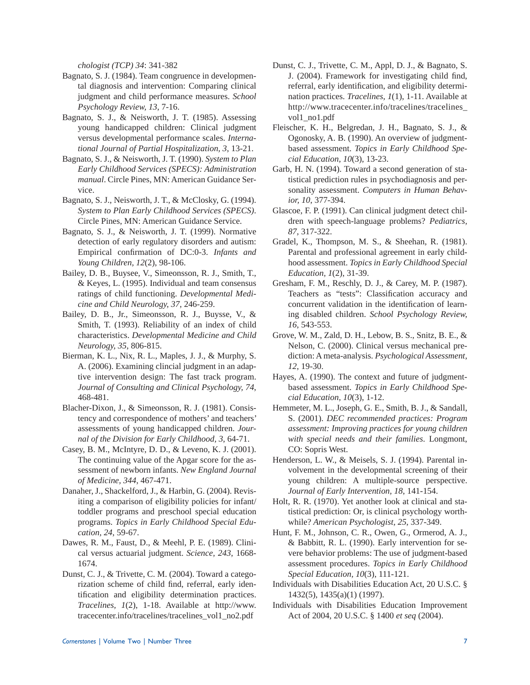*chologist (TCP) 34*: 341-382

- Bagnato, S. J. (1984). Team congruence in developmental diagnosis and intervention: Comparing clinical judgment and child performance measures. *School Psychology Review, 13*, 7-16.
- Bagnato, S. J., & Neisworth, J. T. (1985). Assessing young handicapped children: Clinical judgment versus developmental performance scales. *International Journal of Partial Hospitalization, 3*, 13-21.
- Bagnato, S. J., & Neisworth, J. T. (1990). *System to Plan Early Childhood Services (SPECS): Administration manual*. Circle Pines, MN: American Guidance Service.
- Bagnato, S. J., Neisworth, J. T., & McClosky, G. (1994). *System to Plan Early Childhood Services (SPECS)*. Circle Pines, MN: American Guidance Service.
- Bagnato, S. J., & Neisworth, J. T. (1999). Normative detection of early regulatory disorders and autism: Empirical confirmation of DC:0-3. *Infants and Young Children, 12*(2), 98-106.
- Bailey, D. B., Buysee, V., Simeonsson, R. J., Smith, T., & Keyes, L. (1995). Individual and team consensus ratings of child functioning. *Developmental Medicine and Child Neurology, 37*, 246-259.
- Bailey, D. B., Jr., Simeonsson, R. J., Buysse, V., & Smith, T. (1993). Reliability of an index of child characteristics. *Developmental Medicine and Child Neurology, 35*, 806-815.
- Bierman, K. L., Nix, R. L., Maples, J. J., & Murphy, S. A. (2006). Examining clincial judgment in an adaptive intervention design: The fast track program. *Journal of Consulting and Clinical Psychology, 74*, 468-481.
- Blacher-Dixon, J., & Simeonsson, R. J. (1981). Consistency and correspondence of mothers' and teachers' assessments of young handicapped children. *Journal of the Division for Early Childhood, 3*, 64-71.
- Casey, B. M., McIntyre, D. D., & Leveno, K. J. (2001). The continuing value of the Apgar score for the assessment of newborn infants. *New England Journal of Medicine, 344*, 467-471.
- Danaher, J., Shackelford, J., & Harbin, G. (2004). Revisiting a comparison of eligibility policies for infant/ toddler programs and preschool special education programs. *Topics in Early Childhood Special Education, 24*, 59-67.
- Dawes, R. M., Faust, D., & Meehl, P. E. (1989). Clinical versus actuarial judgment. *Science, 243*, 1668- 1674.
- Dunst, C. J., & Trivette, C. M. (2004). Toward a categorization scheme of child find, referral, early identification and eligibility determination practices. *Tracelines, 1*(2), 1-18. Available at http://www. tracecenter.info/tracelines/tracelines\_vol1\_no2.pdf
- Dunst, C. J., Trivette, C. M., Appl, D. J., & Bagnato, S. J. (2004). Framework for investigating child find, referral, early identification, and eligibility determination practices. *Tracelines, 1*(1), 1-11. Available at http://www.tracecenter.info/tracelines/tracelines\_ vol1\_no1.pdf
- Fleischer, K. H., Belgredan, J. H., Bagnato, S. J., & Ogonosky, A. B. (1990). An overview of judgmentbased assessment. *Topics in Early Childhood Special Education, 10*(3), 13-23.
- Garb, H. N. (1994). Toward a second generation of statistical prediction rules in psychodiagnosis and personality assessment. *Computers in Human Behavior, 10*, 377-394.
- Glascoe, F. P. (1991). Can clinical judgment detect children with speech-language problems? *Pediatrics, 87*, 317-322.
- Gradel, K., Thompson, M. S., & Sheehan, R. (1981). Parental and professional agreement in early childhood assessment. *Topics in Early Childhood Special Education, 1*(2), 31-39.
- Gresham, F. M., Reschly, D. J., & Carey, M. P. (1987). Teachers as "tests": Classification accuracy and concurrent validation in the identification of learning disabled children. *School Psychology Review, 16*, 543-553.
- Grove, W. M., Zald, D. H., Lebow, B. S., Snitz, B. E., & Nelson, C. (2000). Clinical versus mechanical prediction: A meta-analysis. *Psychological Assessment, 12*, 19-30.
- Hayes, A. (1990). The context and future of judgmentbased assessment. *Topics in Early Childhood Special Education, 10*(3), 1-12.
- Hemmeter, M. L., Joseph, G. E., Smith, B. J., & Sandall, S. (2001). *DEC recommended practices: Program assessment: Improving practices for young children with special needs and their families*. Longmont, CO: Sopris West.
- Henderson, L. W., & Meisels, S. J. (1994). Parental involvement in the developmental screening of their young children: A multiple-source perspective. *Journal of Early Intervention, 18*, 141-154.
- Holt, R. R. (1970). Yet another look at clinical and statistical prediction: Or, is clinical psychology worthwhile? *American Psychologist, 25*, 337-349.
- Hunt, F. M., Johnson, C. R., Owen, G., Ormerod, A. J., & Babbitt, R. L. (1990). Early intervention for severe behavior problems: The use of judgment-based assessment procedures. *Topics in Early Childhood Special Education, 10*(3), 111-121.
- Individuals with Disabilities Education Act, 20 U.S.C. § 1432(5), 1435(a)(1) (1997).
- Individuals with Disabilities Education Improvement Act of 2004, 20 U.S.C. § 1400 *et seq* (2004).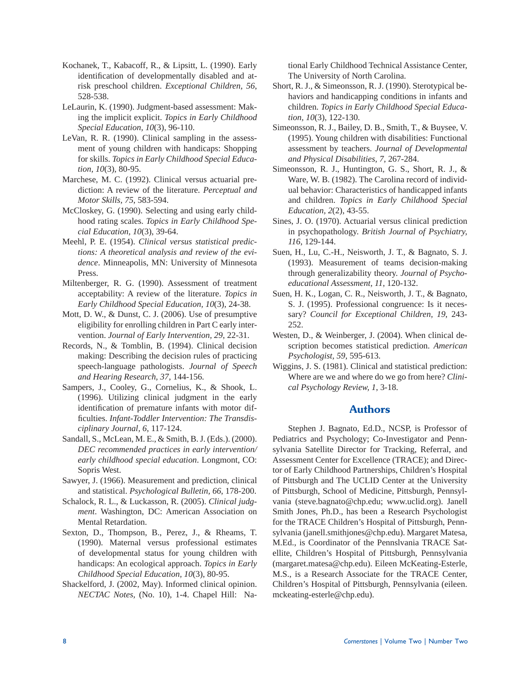- Kochanek, T., Kabacoff, R., & Lipsitt, L. (1990). Early identification of developmentally disabled and atrisk preschool children. *Exceptional Children, 56*, 528-538.
- LeLaurin, K. (1990). Judgment-based assessment: Making the implicit explicit. *Topics in Early Childhood Special Education, 10*(3), 96-110.
- LeVan, R. R. (1990). Clinical sampling in the assessment of young children with handicaps: Shopping for skills. *Topics in Early Childhood Special Education, 10*(3), 80-95.
- Marchese, M. C. (1992). Clinical versus actuarial prediction: A review of the literature. *Perceptual and Motor Skills, 75*, 583-594.
- McCloskey, G. (1990). Selecting and using early childhood rating scales. *Topics in Early Childhood Special Education, 10*(3), 39-64.
- Meehl, P. E. (1954). *Clinical versus statistical predictions: A theoretical analysis and review of the evidence*. Minneapolis, MN: University of Minnesota Press.
- Miltenberger, R. G. (1990). Assessment of treatment acceptability: A review of the literature. *Topics in Early Childhood Special Education, 10*(3), 24-38.
- Mott, D. W., & Dunst, C. J. (2006). Use of presumptive eligibility for enrolling children in Part C early intervention. *Journal of Early Intervention, 29*, 22-31.
- Records, N., & Tomblin, B. (1994). Clinical decision making: Describing the decision rules of practicing speech-language pathologists. *Journal of Speech and Hearing Research, 37*, 144-156.
- Sampers, J., Cooley, G., Cornelius, K., & Shook, L. (1996). Utilizing clinical judgment in the early identification of premature infants with motor difficulties. Infant-Toddler Intervention: The Transdis*ciplinary Journal, 6*, 117-124.
- Sandall, S., McLean, M. E., & Smith, B. J. (Eds.). (2000). *DEC recommended practices in early intervention/ early childhood special education*. Longmont, CO: Sopris West.
- Sawyer, J. (1966). Measurement and prediction, clinical and statistical. *Psychological Bulletin, 66*, 178-200.
- Schalock, R. L., & Luckasson, R. (2005). *Clinical judgment*. Washington, DC: American Association on Mental Retardation.
- Sexton, D., Thompson, B., Perez, J., & Rheams, T. (1990). Maternal versus professional estimates of developmental status for young children with handicaps: An ecological approach. *Topics in Early Childhood Special Education, 10*(3), 80-95.
- Shackelford, J. (2002, May). Informed clinical opinion. *NECTAC Notes,* (No. 10), 1-4. Chapel Hill: Na-

tional Early Childhood Technical Assistance Center, The University of North Carolina.

- Short, R. J., & Simeonsson, R. J. (1990). Sterotypical behaviors and handicapping conditions in infants and children. *Topics in Early Childhood Special Education, 10*(3), 122-130.
- Simeonsson, R. J., Bailey, D. B., Smith, T., & Buysee, V. (1995). Young children with disabilities: Functional assessment by teachers. *Journal of Developmental and Physical Disabilities, 7*, 267-284.
- Simeonsson, R. J., Huntington, G. S., Short, R. J., & Ware, W. B. (1982). The Carolina record of individual behavior: Characteristics of handicapped infants and children. *Topics in Early Childhood Special Education, 2*(2), 43-55.
- Sines, J. O. (1970). Actuarial versus clinical prediction in psychopathology. *British Journal of Psychiatry, 116*, 129-144.
- Suen, H., Lu, C.-H., Neisworth, J. T., & Bagnato, S. J. (1993). Measurement of teams decision-making through generalizability theory. *Journal of Psychoeducational Assessment, 11*, 120-132.
- Suen, H. K., Logan, C. R., Neisworth, J. T., & Bagnato, S. J. (1995). Professional congruence: Is it necessary? *Council for Exceptional Children, 19*, 243- 252.
- Westen, D., & Weinberger, J. (2004). When clinical description becomes statistical prediction. *American Psychologist, 59*, 595-613.
- Wiggins, J. S. (1981). Clinical and statistical prediction: Where are we and where do we go from here? *Clinical Psychology Review, 1*, 3-18.

# **Authors**

 Stephen J. Bagnato, Ed.D., NCSP, is Professor of Pediatrics and Psychology; Co-Investigator and Pennsylvania Satellite Director for Tracking, Referral, and Assessment Center for Excellence (TRACE); and Director of Early Childhood Partnerships, Children's Hospital of Pittsburgh and The UCLID Center at the University of Pittsburgh, School of Medicine, Pittsburgh, Pennsylvania (steve.bagnato@chp.edu; www.uclid.org). Janell Smith Jones, Ph.D., has been a Research Psychologist for the TRACE Children's Hospital of Pittsburgh, Pennsylvania (janell.smithjones@chp.edu). Margaret Matesa, M.Ed., is Coordinator of the Pennslvania TRACE Satellite, Children's Hospital of Pittsburgh, Pennsylvania (margaret.matesa@chp.edu). Eileen McKeating-Esterle, M.S., is a Research Associate for the TRACE Center, Children's Hospital of Pittsburgh, Pennsylvania (eileen. mckeating-esterle@chp.edu).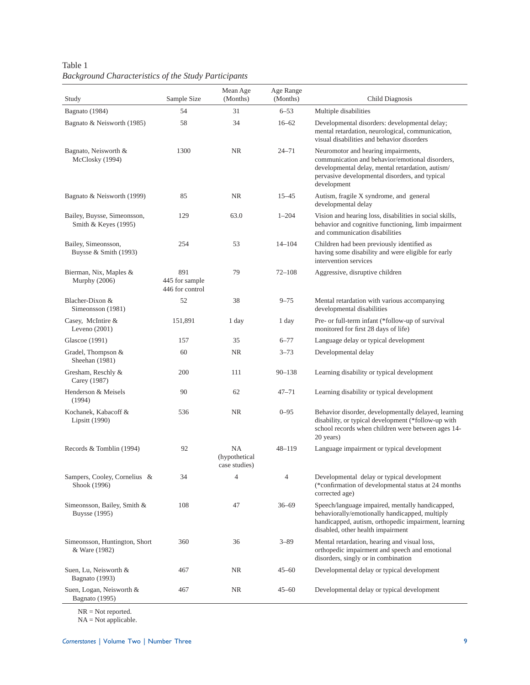Table 1 *Background Characteristics of the Study Participants*

| Study                                               | Sample Size                              | Mean Age<br>(Months)                        | Age Range<br>(Months) | Child Diagnosis                                                                                                                                                                                             |
|-----------------------------------------------------|------------------------------------------|---------------------------------------------|-----------------------|-------------------------------------------------------------------------------------------------------------------------------------------------------------------------------------------------------------|
| Bagnato (1984)                                      | 54                                       | 31                                          | $6 - 53$              | Multiple disabilities                                                                                                                                                                                       |
| Bagnato & Neisworth (1985)                          | 58                                       | 34                                          | $16 - 62$             | Developmental disorders: developmental delay;<br>mental retardation, neurological, communication,<br>visual disabilities and behavior disorders                                                             |
| Bagnato, Neisworth &<br>McClosky (1994)             | 1300                                     | NR                                          | $24 - 71$             | Neuromotor and hearing impairments,<br>communication and behavior/emotional disorders,<br>developmental delay, mental retardation, autism/<br>pervasive developmental disorders, and typical<br>development |
| Bagnato & Neisworth (1999)                          | 85                                       | <b>NR</b>                                   | $15 - 45$             | Autism, fragile X syndrome, and general<br>developmental delay                                                                                                                                              |
| Bailey, Buysse, Simeonsson,<br>Smith & Keyes (1995) | 129                                      | 63.0                                        | $1 - 204$             | Vision and hearing loss, disabilities in social skills,<br>behavior and cognitive functioning, limb impairment<br>and communication disabilities                                                            |
| Bailey, Simeonsson,<br>Buysse & Smith (1993)        | 254                                      | 53                                          | $14 - 104$            | Children had been previously identified as<br>having some disability and were eligible for early<br>intervention services                                                                                   |
| Bierman, Nix, Maples &<br>Murphy (2006)             | 891<br>445 for sample<br>446 for control | 79                                          | $72 - 108$            | Aggressive, disruptive children                                                                                                                                                                             |
| Blacher-Dixon &<br>Simeonsson (1981)                | 52                                       | 38                                          | $9 - 75$              | Mental retardation with various accompanying<br>developmental disabilities                                                                                                                                  |
| Casey, McIntire &<br>Leveno $(2001)$                | 151,891                                  | 1 day                                       | 1 day                 | Pre- or full-term infant (*follow-up of survival<br>monitored for first 28 days of life)                                                                                                                    |
| Glascoe (1991)                                      | 157                                      | 35                                          | $6 - 77$              | Language delay or typical development                                                                                                                                                                       |
| Gradel, Thompson &<br>Sheehan (1981)                | 60                                       | NR                                          | $3 - 73$              | Developmental delay                                                                                                                                                                                         |
| Gresham, Reschly &<br>Carey (1987)                  | 200                                      | 111                                         | $90 - 138$            | Learning disability or typical development                                                                                                                                                                  |
| Henderson & Meisels<br>(1994)                       | 90                                       | 62                                          | $47 - 71$             | Learning disability or typical development                                                                                                                                                                  |
| Kochanek, Kabacoff &<br>Lipsitt (1990)              | 536                                      | <b>NR</b>                                   | $0 - 95$              | Behavior disorder, developmentally delayed, learning<br>disability, or typical development (*follow-up with<br>school records when children were between ages 14-<br>20 years)                              |
| Records & Tomblin (1994)                            | 92                                       | <b>NA</b><br>(hypothetical<br>case studies) | $48 - 119$            | Language impairment or typical development                                                                                                                                                                  |
| Sampers, Cooley, Cornelius &<br>Shook (1996)        | 34                                       | 4                                           | $\overline{4}$        | Developmental delay or typical development<br>(*confirmation of developmental status at 24 months)<br>corrected age)                                                                                        |
| Simeonsson, Bailey, Smith &<br><b>Buysse</b> (1995) | 108                                      | 47                                          | $36 - 69$             | Speech/language impaired, mentally handicapped,<br>behaviorally/emotionally handicapped, multiply<br>handicapped, autism, orthopedic impairment, learning<br>disabled, other health impairment              |
| Simeonsson, Huntington, Short<br>& Ware (1982)      | 360                                      | 36                                          | $3 - 89$              | Mental retardation, hearing and visual loss,<br>orthopedic impairment and speech and emotional<br>disorders, singly or in combination                                                                       |
| Suen, Lu, Neisworth &<br>Bagnato (1993)             | 467                                      | NR                                          | $45 - 60$             | Developmental delay or typical development                                                                                                                                                                  |
| Suen, Logan, Neisworth &<br>Bagnato (1995)          | 467                                      | NR                                          | $45 - 60$             | Developmental delay or typical development                                                                                                                                                                  |

NR = Not reported.

 $NA = Not applicable.$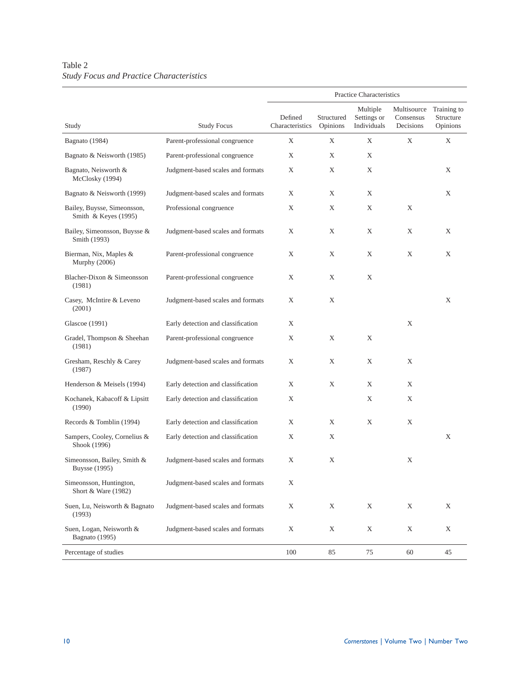### Table 2 *Study Focus and Practice Characteristics*

|                                                     |                                    |                            |                        | Practice Characteristics               |                                       |                                      |
|-----------------------------------------------------|------------------------------------|----------------------------|------------------------|----------------------------------------|---------------------------------------|--------------------------------------|
| Study                                               | <b>Study Focus</b>                 | Defined<br>Characteristics | Structured<br>Opinions | Multiple<br>Settings or<br>Individuals | Multisource<br>Consensus<br>Decisions | Training to<br>Structure<br>Opinions |
| Bagnato (1984)                                      | Parent-professional congruence     | Χ                          | Χ                      | X                                      | X                                     | X                                    |
| Bagnato & Neisworth (1985)                          | Parent-professional congruence     | X                          | X                      | X                                      |                                       |                                      |
| Bagnato, Neisworth &<br>McClosky (1994)             | Judgment-based scales and formats  | X                          | X                      | X                                      |                                       | X                                    |
| Bagnato & Neisworth (1999)                          | Judgment-based scales and formats  | Χ                          | Χ                      | Χ                                      |                                       | X                                    |
| Bailey, Buysse, Simeonsson,<br>Smith & Keyes (1995) | Professional congruence            | X                          | X                      | X                                      | X                                     |                                      |
| Bailey, Simeonsson, Buysse &<br>Smith (1993)        | Judgment-based scales and formats  | X                          | X                      | X                                      | X                                     | X                                    |
| Bierman, Nix, Maples &<br>Murphy (2006)             | Parent-professional congruence     | Χ                          | Χ                      | X                                      | X                                     | X                                    |
| Blacher-Dixon & Simeonsson<br>(1981)                | Parent-professional congruence     | Χ                          | Χ                      | Χ                                      |                                       |                                      |
| Casey, McIntire & Leveno<br>(2001)                  | Judgment-based scales and formats  | X                          | X                      |                                        |                                       | Χ                                    |
| Glascoe (1991)                                      | Early detection and classification | X                          |                        |                                        | X                                     |                                      |
| Gradel, Thompson & Sheehan<br>(1981)                | Parent-professional congruence     | Χ                          | Χ                      | Χ                                      |                                       |                                      |
| Gresham, Reschly & Carey<br>(1987)                  | Judgment-based scales and formats  | X                          | Χ                      | Χ                                      | X                                     |                                      |
| Henderson & Meisels (1994)                          | Early detection and classification | X                          | X                      | X                                      | X                                     |                                      |
| Kochanek, Kabacoff & Lipsitt<br>(1990)              | Early detection and classification | Χ                          |                        | X                                      | X                                     |                                      |
| Records & Tomblin (1994)                            | Early detection and classification | Χ                          | X                      | X                                      | X                                     |                                      |
| Sampers, Cooley, Cornelius &<br>Shook (1996)        | Early detection and classification | Χ                          | Χ                      |                                        |                                       | Χ                                    |
| Simeonsson, Bailey, Smith &<br><b>Buysse</b> (1995) | Judgment-based scales and formats  | Χ                          | Χ                      |                                        | Χ                                     |                                      |
| Simeonsson, Huntington,<br>Short & Ware (1982)      | Judgment-based scales and formats  | $\mathbf X$                |                        |                                        |                                       |                                      |
| Suen, Lu, Neisworth & Bagnato<br>(1993)             | Judgment-based scales and formats  | X                          | $\mathbf X$            | X                                      | X                                     | X                                    |
| Suen, Logan, Neisworth &<br>Bagnato (1995)          | Judgment-based scales and formats  | Χ                          | $\mathbf X$            | $\mathbf X$                            | X                                     | Χ                                    |
| Percentage of studies                               |                                    | 100                        | 85                     | 75                                     | 60                                    | 45                                   |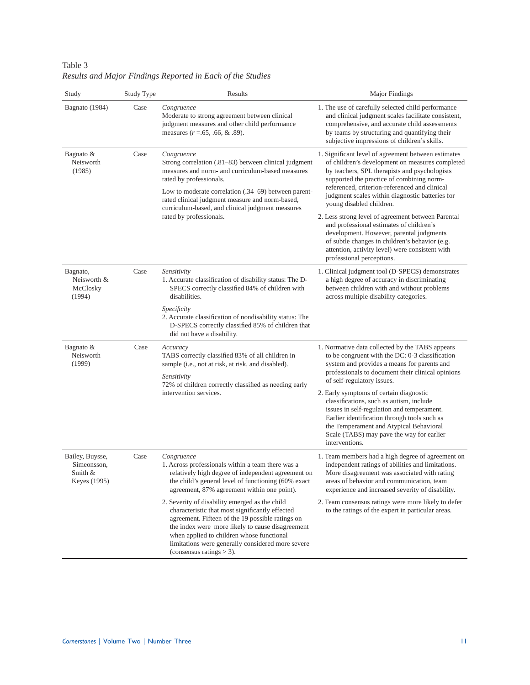| Study                                                     | Study Type | Results                                                                                                                                                                                                                                                                                                                                      | Major Findings                                                                                                                                                                                                                                                                                                                                                                                                                                                                                                                                                                                                       |
|-----------------------------------------------------------|------------|----------------------------------------------------------------------------------------------------------------------------------------------------------------------------------------------------------------------------------------------------------------------------------------------------------------------------------------------|----------------------------------------------------------------------------------------------------------------------------------------------------------------------------------------------------------------------------------------------------------------------------------------------------------------------------------------------------------------------------------------------------------------------------------------------------------------------------------------------------------------------------------------------------------------------------------------------------------------------|
| Bagnato (1984)                                            | Case       | Congruence<br>Moderate to strong agreement between clinical<br>judgment measures and other child performance<br>measures $(r = .65, .66, \& .89)$ .                                                                                                                                                                                          | 1. The use of carefully selected child performance<br>and clinical judgment scales facilitate consistent,<br>comprehensive, and accurate child assessments<br>by teams by structuring and quantifying their<br>subjective impressions of children's skills.                                                                                                                                                                                                                                                                                                                                                          |
| Bagnato &<br>Neisworth<br>(1985)                          | Case       | Congruence<br>Strong correlation (.81–83) between clinical judgment<br>measures and norm- and curriculum-based measures<br>rated by professionals.<br>Low to moderate correlation (.34–69) between parent-<br>rated clinical judgment measure and norm-based,<br>curriculum-based, and clinical judgment measures<br>rated by professionals. | 1. Significant level of agreement between estimates<br>of children's development on measures completed<br>by teachers, SPL therapists and psychologists<br>supported the practice of combining norm-<br>referenced, criterion-referenced and clinical<br>judgment scales within diagnostic batteries for<br>young disabled children.<br>2. Less strong level of agreement between Parental<br>and professional estimates of children's<br>development. However, parental judgments<br>of subtle changes in children's behavior (e.g.<br>attention, activity level) were consistent with<br>professional perceptions. |
| Bagnato,<br>Neisworth &<br>McClosky<br>(1994)             | Case       | Sensitivity<br>1. Accurate classification of disability status: The D-<br>SPECS correctly classified 84% of children with<br>disabilities.<br>Specificity<br>2. Accurate classification of nondisability status: The<br>D-SPECS correctly classified 85% of children that<br>did not have a disability.                                      | 1. Clinical judgment tool (D-SPECS) demonstrates<br>a high degree of accuracy in discriminating<br>between children with and without problems<br>across multiple disability categories.                                                                                                                                                                                                                                                                                                                                                                                                                              |
| Bagnato $&$<br>Neisworth<br>(1999)                        | Case       | Accuracy<br>TABS correctly classified 83% of all children in<br>sample (i.e., not at risk, at risk, and disabled).<br>Sensitivity<br>72% of children correctly classified as needing early                                                                                                                                                   | 1. Normative data collected by the TABS appears<br>to be congruent with the DC: 0-3 classification<br>system and provides a means for parents and<br>professionals to document their clinical opinions<br>of self-regulatory issues.                                                                                                                                                                                                                                                                                                                                                                                 |
|                                                           |            | intervention services.                                                                                                                                                                                                                                                                                                                       | 2. Early symptoms of certain diagnostic<br>classifications, such as autism, include<br>issues in self-regulation and temperament.<br>Earlier identification through tools such as<br>the Temperament and Atypical Behavioral<br>Scale (TABS) may pave the way for earlier<br>interventions.                                                                                                                                                                                                                                                                                                                          |
| Bailey, Buysse,<br>Simeonsson,<br>Smith &<br>Keyes (1995) | Case       | Congruence<br>1. Across professionals within a team there was a<br>relatively high degree of independent agreement on<br>the child's general level of functioning (60% exact<br>agreement, 87% agreement within one point).                                                                                                                  | 1. Team members had a high degree of agreement on<br>independent ratings of abilities and limitations.<br>More disagreement was associated with rating<br>areas of behavior and communication, team<br>experience and increased severity of disability.                                                                                                                                                                                                                                                                                                                                                              |
|                                                           |            | 2. Severity of disability emerged as the child<br>characteristic that most significantly effected<br>agreement. Fifteen of the 19 possible ratings on<br>the index were more likely to cause disagreement<br>when applied to children whose functional<br>limitations were generally considered more severe<br>(consensus ratings $>$ 3).    | 2. Team consensus ratings were more likely to defer<br>to the ratings of the expert in particular areas.                                                                                                                                                                                                                                                                                                                                                                                                                                                                                                             |

Table 3 *Results and Major Findings Reported in Each of the Studies*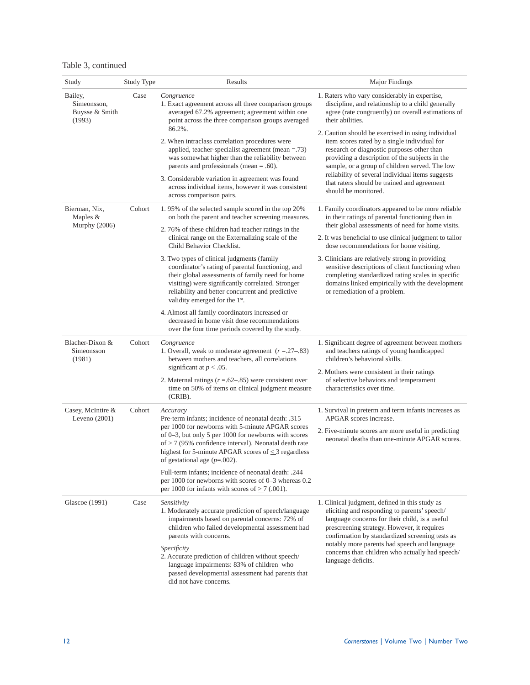|  | Table 3, continued |
|--|--------------------|
|--|--------------------|

| Study                                              | Study Type | Results                                                                                                                                                                                                                                                                                                                               | Major Findings                                                                                                                                                                                                                                                                                                                                          |  |
|----------------------------------------------------|------------|---------------------------------------------------------------------------------------------------------------------------------------------------------------------------------------------------------------------------------------------------------------------------------------------------------------------------------------|---------------------------------------------------------------------------------------------------------------------------------------------------------------------------------------------------------------------------------------------------------------------------------------------------------------------------------------------------------|--|
| Bailey,<br>Simeonsson,<br>Buysse & Smith<br>(1993) | Case       | Congruence<br>1. Exact agreement across all three comparison groups<br>averaged 67.2% agreement; agreement within one<br>point across the three comparison groups averaged                                                                                                                                                            | 1. Raters who vary considerably in expertise,<br>discipline, and relationship to a child generally<br>agree (rate congruently) on overall estimations of<br>their abilities.                                                                                                                                                                            |  |
|                                                    |            | 86.2%.<br>2. When intraclass correlation procedures were<br>applied, teacher-specialist agreement (mean $=.73)$<br>was somewhat higher than the reliability between<br>parents and professionals (mean $= .60$ ).<br>3. Considerable variation in agreement was found<br>across individual items, however it was consistent           | 2. Caution should be exercised in using individual<br>item scores rated by a single individual for<br>research or diagnostic purposes other than<br>providing a description of the subjects in the<br>sample, or a group of children served. The low<br>reliability of several individual items suggests<br>that raters should be trained and agreement |  |
|                                                    |            | across comparison pairs.                                                                                                                                                                                                                                                                                                              | should be monitored.                                                                                                                                                                                                                                                                                                                                    |  |
| Bierman, Nix,<br>Maples &<br>Murphy (2006)         | Cohort     | 1.95% of the selected sample scored in the top 20%<br>on both the parent and teacher screening measures.                                                                                                                                                                                                                              | 1. Family coordinators appeared to be more reliable<br>in their ratings of parental functioning than in<br>their global assessments of need for home visits.                                                                                                                                                                                            |  |
|                                                    |            | 2.76% of these children had teacher ratings in the<br>clinical range on the Externalizing scale of the<br>Child Behavior Checklist.                                                                                                                                                                                                   | 2. It was beneficial to use clinical judgment to tailor<br>dose recommendations for home visiting.                                                                                                                                                                                                                                                      |  |
|                                                    |            | 3. Two types of clinical judgments (family<br>coordinator's rating of parental functioning, and<br>their global assessments of family need for home<br>visiting) were significantly correlated. Stronger<br>reliability and better concurrent and predictive<br>validity emerged for the 1 <sup>st</sup> .                            | 3. Clinicians are relatively strong in providing<br>sensitive descriptions of client functioning when<br>completing standardized rating scales in specific<br>domains linked empirically with the development<br>or remediation of a problem.                                                                                                           |  |
|                                                    |            | 4. Almost all family coordinators increased or<br>decreased in home visit dose recommendations<br>over the four time periods covered by the study.                                                                                                                                                                                    |                                                                                                                                                                                                                                                                                                                                                         |  |
| Blacher-Dixon &<br>Simeonsson<br>(1981)            | Cohort     | Congruence<br>1. Overall, weak to moderate agreement $(r=.27-.83)$<br>between mothers and teachers, all correlations                                                                                                                                                                                                                  | 1. Significant degree of agreement between mothers<br>and teachers ratings of young handicapped<br>children's behavioral skills.                                                                                                                                                                                                                        |  |
|                                                    |            | significant at $p < .05$ .<br>2. Maternal ratings $(r=.62-.85)$ were consistent over<br>time on 50% of items on clinical judgment measure<br>(CRIB).                                                                                                                                                                                  | 2. Mothers were consistent in their ratings<br>of selective behaviors and temperament<br>characteristics over time.                                                                                                                                                                                                                                     |  |
| Casey, McIntire &<br>Leveno $(2001)$               | Cohort     | Accuracy<br>Pre-term infants; incidence of neonatal death: .315<br>per 1000 for newborns with 5-minute APGAR scores<br>of 0-3, but only 5 per 1000 for newborns with scores<br>of $> 7$ (95% confidence interval). Neonatal death rate<br>highest for 5-minute APGAR scores of $\leq$ 3 regardless<br>of gestational age $(p=.002)$ . | 1. Survival in preterm and term infants increases as<br>APGAR scores increase.                                                                                                                                                                                                                                                                          |  |
|                                                    |            |                                                                                                                                                                                                                                                                                                                                       | 2. Five-minute scores are more useful in predicting<br>neonatal deaths than one-minute APGAR scores.                                                                                                                                                                                                                                                    |  |
|                                                    |            | Full-term infants; incidence of neonatal death: .244<br>per 1000 for newborns with scores of 0-3 whereas 0.2<br>per 1000 for infants with scores of $\geq$ 7 (.001).                                                                                                                                                                  |                                                                                                                                                                                                                                                                                                                                                         |  |
| Glascoe (1991)                                     | Case       | Sensitivity<br>1. Moderately accurate prediction of speech/language<br>impairments based on parental concerns: 72% of<br>children who failed developmental assessment had<br>parents with concerns.                                                                                                                                   | 1. Clinical judgment, defined in this study as<br>eliciting and responding to parents' speech/<br>language concerns for their child, is a useful<br>prescreening strategy. However, it requires<br>confirmation by standardized screening tests as                                                                                                      |  |
|                                                    |            | Specificity<br>2. Accurate prediction of children without speech/<br>language impairments: 83% of children who<br>passed developmental assessment had parents that<br>did not have concerns.                                                                                                                                          | notably more parents had speech and language<br>concerns than children who actually had speech/<br>language deficits.                                                                                                                                                                                                                                   |  |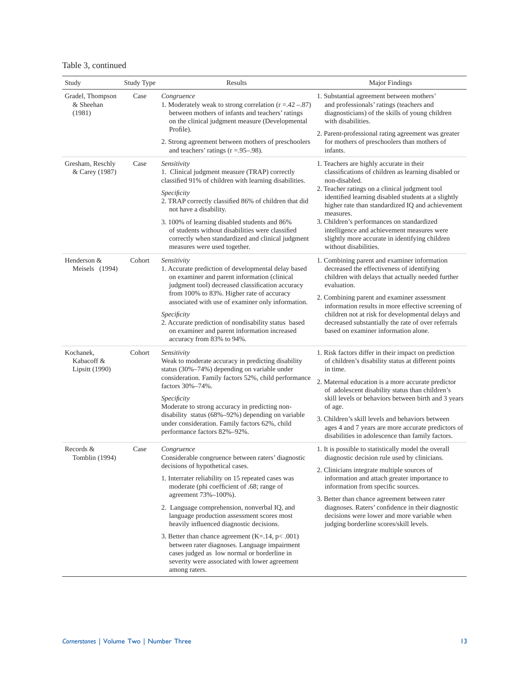|  | Table 3, continued |
|--|--------------------|
|--|--------------------|

| Study                                     | Study Type | Results                                                                                                                                                                                                                                                                                                                                                                    | Major Findings                                                                                                                                                                               |  |
|-------------------------------------------|------------|----------------------------------------------------------------------------------------------------------------------------------------------------------------------------------------------------------------------------------------------------------------------------------------------------------------------------------------------------------------------------|----------------------------------------------------------------------------------------------------------------------------------------------------------------------------------------------|--|
| Gradel, Thompson<br>& Sheehan<br>(1981)   | Case       | Congruence<br>1. Moderately weak to strong correlation $(r = .42 - .87)$<br>between mothers of infants and teachers' ratings<br>on the clinical judgment measure (Developmental<br>Profile).                                                                                                                                                                               | 1. Substantial agreement between mothers'<br>and professionals' ratings (teachers and<br>diagnosticians) of the skills of young children<br>with disabilities.                               |  |
|                                           |            | 2. Strong agreement between mothers of preschoolers<br>and teachers' ratings $(r = .95-.98)$ .                                                                                                                                                                                                                                                                             | 2. Parent-professional rating agreement was greater<br>for mothers of preschoolers than mothers of<br>infants.                                                                               |  |
| Gresham, Reschly<br>& Carey (1987)        | Case       | Sensitivity<br>1. Clinical judgment measure (TRAP) correctly<br>classified 91% of children with learning disabilities.                                                                                                                                                                                                                                                     | 1. Teachers are highly accurate in their<br>classifications of children as learning disabled or<br>non-disabled.                                                                             |  |
|                                           |            | Specificity<br>2. TRAP correctly classified 86% of children that did<br>not have a disability.                                                                                                                                                                                                                                                                             | 2. Teacher ratings on a clinical judgment tool<br>identified learning disabled students at a slightly<br>higher rate than standardized IQ and achievement<br>measures.                       |  |
|                                           |            | 3.100% of learning disabled students and 86%<br>of students without disabilities were classified<br>correctly when standardized and clinical judgment<br>measures were used together.                                                                                                                                                                                      | 3. Children's performances on standardized<br>intelligence and achievement measures were<br>slightly more accurate in identifying children<br>without disabilities.                          |  |
| Henderson &<br>Meisels (1994)             | Cohort     | Sensitivity<br>1. Accurate prediction of developmental delay based<br>on examiner and parent information (clinical<br>judgment tool) decreased classification accuracy                                                                                                                                                                                                     | 1. Combining parent and examiner information<br>decreased the effectiveness of identifying<br>children with delays that actually needed further<br>evaluation.                               |  |
|                                           |            | from 100% to 83%. Higher rate of accuracy<br>associated with use of examiner only information.                                                                                                                                                                                                                                                                             | 2. Combining parent and examiner assessment<br>information results in more effective screening of                                                                                            |  |
|                                           |            | Specificity<br>2. Accurate prediction of nondisability status based<br>on examiner and parent information increased<br>accuracy from 83% to 94%.                                                                                                                                                                                                                           | children not at risk for developmental delays and<br>decreased substantially the rate of over referrals<br>based on examiner information alone.                                              |  |
| Kochanek,<br>Kabacoff &<br>Lipsitt (1990) | Cohort     | Sensitivity<br>Weak to moderate accuracy in predicting disability<br>status (30%-74%) depending on variable under                                                                                                                                                                                                                                                          | 1. Risk factors differ in their impact on prediction<br>of children's disability status at different points<br>in time.                                                                      |  |
|                                           |            | consideration. Family factors 52%, child performance<br>factors 30%-74%.<br>Specificity<br>Moderate to strong accuracy in predicting non-<br>disability status (68%-92%) depending on variable<br>under consideration. Family factors 62%, child<br>performance factors 82%-92%.                                                                                           | 2. Maternal education is a more accurate predictor<br>of adolescent disability status than children's<br>skill levels or behaviors between birth and 3 years                                 |  |
|                                           |            |                                                                                                                                                                                                                                                                                                                                                                            | of age.                                                                                                                                                                                      |  |
|                                           |            |                                                                                                                                                                                                                                                                                                                                                                            | 3. Children's skill levels and behaviors between<br>ages 4 and 7 years are more accurate predictors of<br>disabilities in adolescence than family factors.                                   |  |
| Records &<br>Tomblin (1994)               | Case       | Congruence<br>Considerable congruence between raters' diagnostic<br>decisions of hypothetical cases.<br>1. Interrater reliability on 15 repeated cases was<br>moderate (phi coefficient of .68; range of<br>agreement 73%-100%).<br>2. Language comprehension, nonverbal IQ, and<br>language production assessment scores most<br>heavily influenced diagnostic decisions. | 1. It is possible to statistically model the overall<br>diagnostic decision rule used by clinicians.                                                                                         |  |
|                                           |            |                                                                                                                                                                                                                                                                                                                                                                            | 2. Clinicians integrate multiple sources of<br>information and attach greater importance to<br>information from specific sources.                                                            |  |
|                                           |            |                                                                                                                                                                                                                                                                                                                                                                            | 3. Better than chance agreement between rater<br>diagnoses. Raters' confidence in their diagnostic<br>decisions were lower and more variable when<br>judging borderline scores/skill levels. |  |
|                                           |            | 3. Better than chance agreement $(K=14, p<.001)$<br>between rater diagnoses. Language impairment<br>cases judged as low normal or borderline in<br>severity were associated with lower agreement<br>among raters.                                                                                                                                                          |                                                                                                                                                                                              |  |